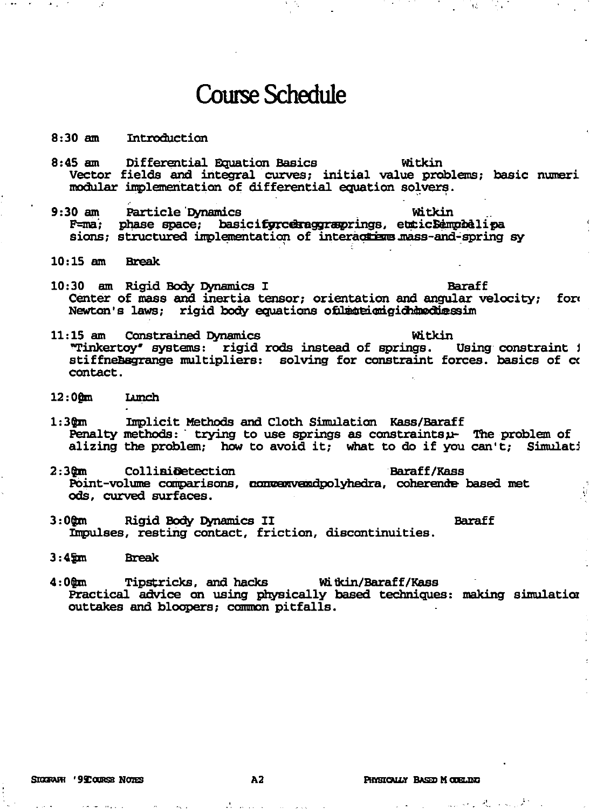## **Course Schedule**

## $8:30 \; \text{am}$ Introduction

- Differential Equation Basics Witkin  $8:45$  am Vector fields and integral curves; initial value problems; basic numeri modular implementation of differential equation solvers.
- Particle Dynamics  $9:30$  am Witkin phase space; basicifyrceraggraprings, etcicSemphelipa  $F=ma$ : sions; structured implementation of interactions mass-and-spring sy
- $10:15$  am **Break**
- 10:30 am Rigid Body Dynamics I **Baraff** Center of mass and inertia tensor; orientation and angular velocity; fore Newton's laws; rigid body equations of late imigid modulesim
- 11:15 am Constrained Dynamics Witkin "Tinkertoy" systems: rigid rods instead of springs. Using constraint i stiffnebegrange multipliers: solving for constraint forces. basics of co contact.
- $12:00m$ Lamch
- $1:30m$ Implicit Methods and Cloth Simulation Kass/Baraff Penalty methods: trying to use springs as constraintsu- The problem of alizing the problem; how to avoid it; what to do if you can't; Simulati
- $2:30m$ Collimidetection Baraff/Kass Point-volume comparisons, convexweedpolyhedra, coherende based met ods. curved surfaces.
- Rigid Body Dynamics II **Baraff**  $3:00m$ Impulses, resting contact, friction, discontinuities.
- $3:45m$ **Break**
- **Tipstricks, and hacks** Witkin/Baraff/Kass  $4:00m$ Practical advice on using physically based techniques: making simulation outtakes and bloopers; common pitfalls.

المتماس المتارين والمتمام والأمر

表 (18)